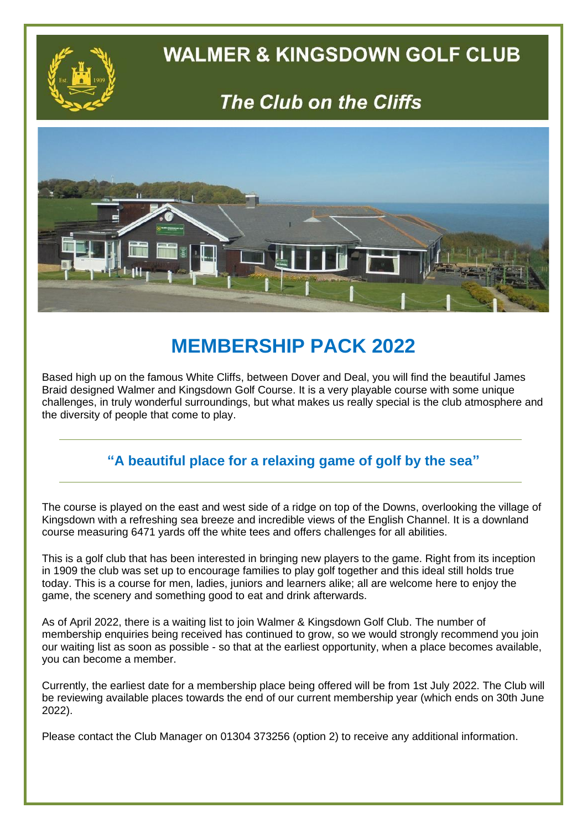

#### **WALMER & KINGSDOWN GOLF CLUB**

### The Club on the Cliffs



#### **MEMBERSHIP PACK 2022**

Based high up on the famous White Cliffs, between Dover and Deal, you will find the beautiful James Braid designed Walmer and Kingsdown Golf Course. It is a very playable course with some unique challenges, in truly wonderful surroundings, but what makes us really special is the club atmosphere and the diversity of people that come to play.

#### **"A beautiful place for a relaxing game of golf by the sea"**

The course is played on the east and west side of a ridge on top of the Downs, overlooking the village of Kingsdown with a refreshing sea breeze and incredible views of the English Channel. It is a downland course measuring 6471 yards off the white tees and offers challenges for all abilities.

This is a golf club that has been interested in bringing new players to the game. Right from its inception in 1909 the club was set up to encourage families to play golf together and this ideal still holds true today. This is a course for men, ladies, juniors and learners alike; all are welcome here to enjoy the game, the scenery and something good to eat and drink afterwards.

As of April 2022, there is a waiting list to join Walmer & Kingsdown Golf Club. The number of membership enquiries being received has continued to grow, so we would strongly recommend you join our waiting list as soon as possible - so that at the earliest opportunity, when a place becomes available, you can become a member.

Currently, the earliest date for a membership place being offered will be from 1st July 2022. The Club will be reviewing available places towards the end of our current membership year (which ends on 30th June 2022).

Please contact the Club Manager on 01304 373256 (option 2) to receive any additional information.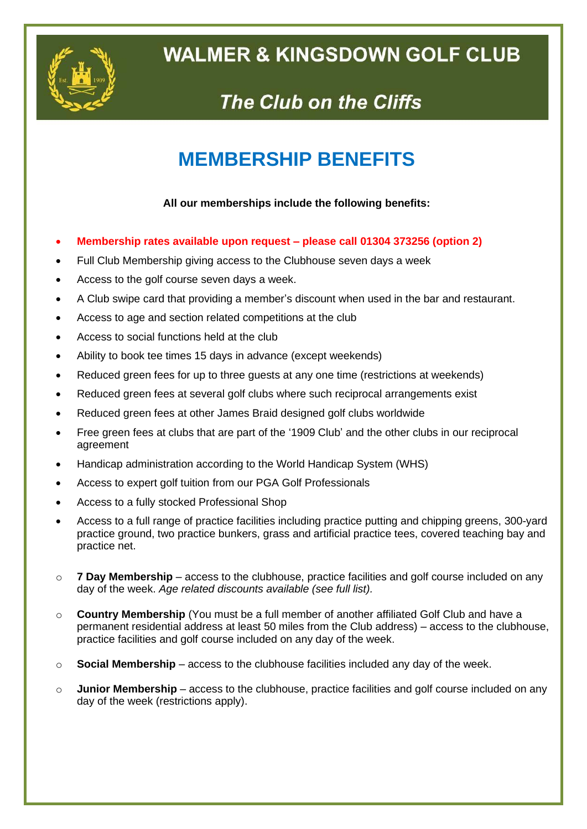

## **WALMER & KINGSDOWN GOLF CLUB**

# The Club on the Cliffs

#### **MEMBERSHIP BENEFITS**

#### **All our memberships include the following benefits:**

- **Membership rates available upon request – please call 01304 373256 (option 2)**
- Full Club Membership giving access to the Clubhouse seven days a week
- Access to the golf course seven days a week.
- A Club swipe card that providing a member's discount when used in the bar and restaurant.
- Access to age and section related competitions at the club
- Access to social functions held at the club
- Ability to book tee times 15 days in advance (except weekends)
- Reduced green fees for up to three guests at any one time (restrictions at weekends)
- Reduced green fees at several golf clubs where such reciprocal arrangements exist
- Reduced green fees at other James Braid designed golf clubs worldwide
- Free green fees at clubs that are part of the '1909 Club' and the other clubs in our reciprocal agreement
- Handicap administration according to the World Handicap System (WHS)
- Access to expert golf tuition from our PGA Golf Professionals
- Access to a fully stocked Professional Shop
- Access to a full range of practice facilities including practice putting and chipping greens, 300-yard practice ground, two practice bunkers, grass and artificial practice tees, covered teaching bay and practice net.
- o **7 Day Membership** access to the clubhouse, practice facilities and golf course included on any day of the week. *Age related discounts available (see full list).*
- o **Country Membership** (You must be a full member of another affiliated Golf Club and have a permanent residential address at least 50 miles from the Club address) – access to the clubhouse, practice facilities and golf course included on any day of the week.
- $\circ$  **Social Membership** access to the clubhouse facilities included any day of the week.
- o **Junior Membership** access to the clubhouse, practice facilities and golf course included on any day of the week (restrictions apply).